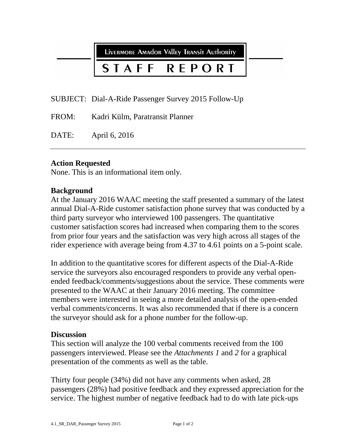LIVERMORE AMAdOR VAlley TRANSIT AUTHORITY

### STAFF **REPORT**

SUBJECT: Dial-A-Ride Passenger Survey 2015 Follow-Up

FROM: Kadri Külm, Paratransit Planner

DATE: April 6, 2016

# **Action Requested**

None. This is an informational item only.

# **Background**

At the January 2016 WAAC meeting the staff presented a summary of the latest annual Dial-A-Ride customer satisfaction phone survey that was conducted by a third party surveyor who interviewed 100 passengers. The quantitative customer satisfaction scores had increased when comparing them to the scores from prior four years and the satisfaction was very high across all stages of the rider experience with average being from 4.37 to 4.61 points on a 5-point scale.

In addition to the quantitative scores for different aspects of the Dial-A-Ride service the surveyors also encouraged responders to provide any verbal openended feedback/comments/suggestions about the service. These comments were presented to the WAAC at their January 2016 meeting. The committee members were interested in seeing a more detailed analysis of the open-ended verbal comments/concerns. It was also recommended that if there is a concern the surveyor should ask for a phone number for the follow-up.

# **Discussion**

This section will analyze the 100 verbal comments received from the 100 passengers interviewed. Please see the *Attachments 1* and *2* for a graphical presentation of the comments as well as the table.

Thirty four people (34%) did not have any comments when asked, 28 passengers (28%) had positive feedback and they expressed appreciation for the service. The highest number of negative feedback had to do with late pick-ups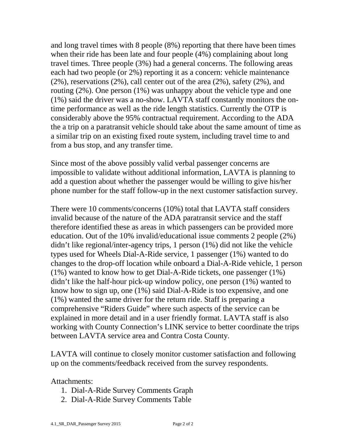and long travel times with 8 people (8%) reporting that there have been times when their ride has been late and four people (4%) complaining about long travel times. Three people (3%) had a general concerns. The following areas each had two people (or 2%) reporting it as a concern: vehicle maintenance (2%), reservations (2%), call center out of the area (2%), safety (2%), and routing (2%). One person (1%) was unhappy about the vehicle type and one (1%) said the driver was a no-show. LAVTA staff constantly monitors the ontime performance as well as the ride length statistics. Currently the OTP is considerably above the 95% contractual requirement. According to the ADA the a trip on a paratransit vehicle should take about the same amount of time as a similar trip on an existing fixed route system, including travel time to and from a bus stop, and any transfer time.

Since most of the above possibly valid verbal passenger concerns are impossible to validate without additional information, LAVTA is planning to add a question about whether the passenger would be willing to give his/her phone number for the staff follow-up in the next customer satisfaction survey.

There were 10 comments/concerns (10%) total that LAVTA staff considers invalid because of the nature of the ADA paratransit service and the staff therefore identified these as areas in which passengers can be provided more education. Out of the 10% invalid/educational issue comments 2 people (2%) didn't like regional/inter-agency trips, 1 person (1%) did not like the vehicle types used for Wheels Dial-A-Ride service, 1 passenger (1%) wanted to do changes to the drop-off location while onboard a Dial-A-Ride vehicle, 1 person (1%) wanted to know how to get Dial-A-Ride tickets, one passenger (1%) didn't like the half-hour pick-up window policy, one person (1%) wanted to know how to sign up, one (1%) said Dial-A-Ride is too expensive, and one (1%) wanted the same driver for the return ride. Staff is preparing a comprehensive "Riders Guide" where such aspects of the service can be explained in more detail and in a user friendly format. LAVTA staff is also working with County Connection's LINK service to better coordinate the trips between LAVTA service area and Contra Costa County.

LAVTA will continue to closely monitor customer satisfaction and following up on the comments/feedback received from the survey respondents.

Attachments:

- 1. Dial-A-Ride Survey Comments Graph
- 2. Dial-A-Ride Survey Comments Table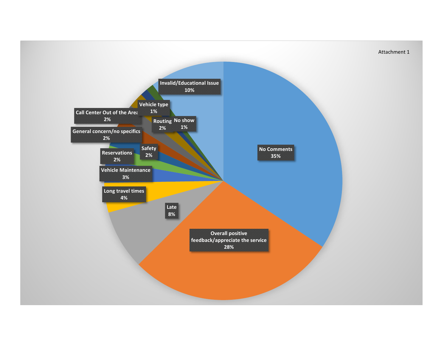